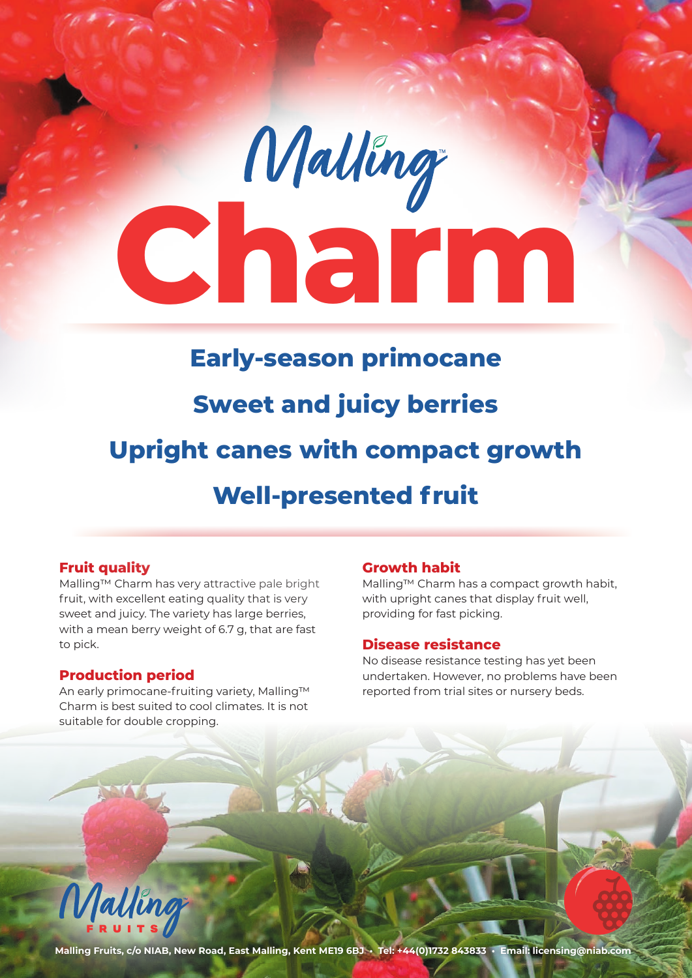

# **Fruit quality**

Malling™ Charm has very attractive pale bright fruit, with excellent eating quality that is very sweet and juicy. The variety has large berries, with a mean berry weight of 6.7 g, that are fast to pick.

### **Production period**

An early primocane-fruiting variety, Malling™ Charm is best suited to cool climates. It is not suitable for double cropping.

### **Growth habit**

Malling™ Charm has a compact growth habit, with upright canes that display fruit well, providing for fast picking.

### **Disease resistance**

No disease resistance testing has yet been undertaken. However, no problems have been reported from trial sites or nursery beds.



**Malling Fruits, c/o NIAB, New Road, East Malling, Kent ME19 6BJ • Tel: +44(0)1732 843833 • Email: licensing@niab.com**